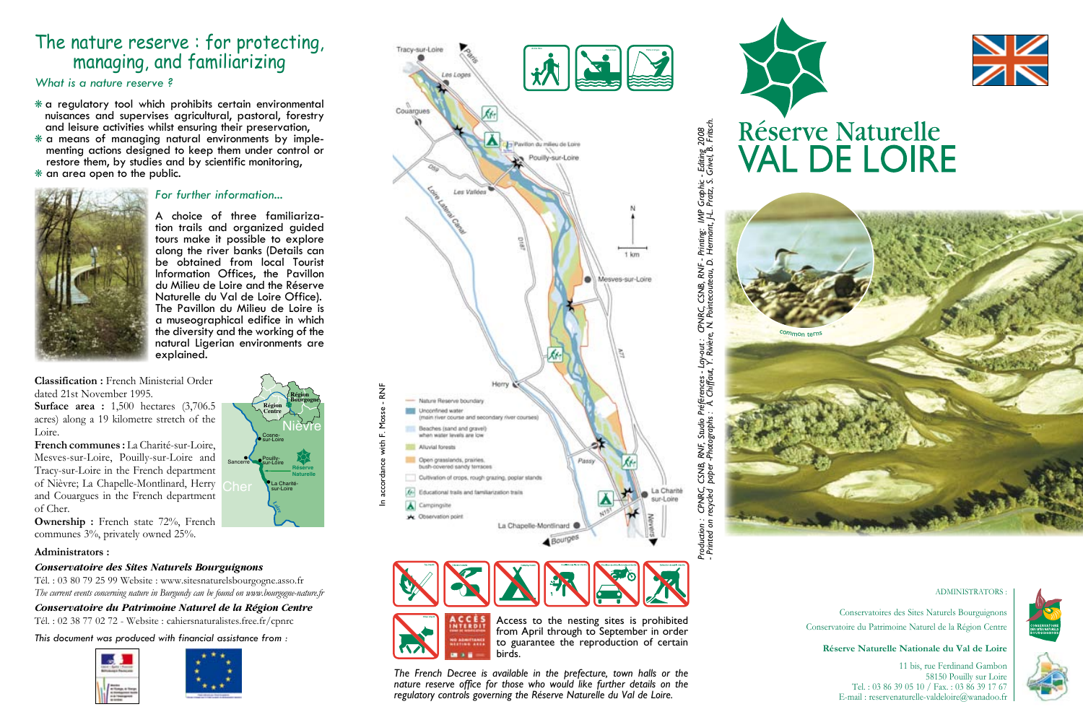# The nature reserve : for protecting, managing, and familiarizing

*What is a nature reserve ?*

- $*$  a regulatory tool which prohibits certain environmental nuisances and supervises agricultural, pastoral, forestry and leisure activities whilst ensuring their preservation,
- menting actions designed to keep them under control or restore them, by studies and by scientific monitoring,  $*$  an area open to the public.



### *For further information...*

<sup>A</sup> choice of three familiariza- tion trails and organized guided tours make it possible to explore<br>along the river banks (Details can be obtained from local Tourist Information Offices, the Pavillon du Milieu de Loire and the Réserve Naturelle du Val de Loire Office). a museographical edifice in which the diversity and the working of the natural Ligerian environments are explained.

La Charité-sur-Loire

**Loire**

**Nièvre** 

**Région Bourgogne**

**Réserve Naturelle** 

Cosnesur-Loire

**Région Centre**

Sancerre Pouillysur-Loire

**Classification :** French Ministerial Order dated 21st November 1995.

**Surface area :** 1,500 hectares (3,706.5) acres) along a 19 kilometre stretch of the Loire.

**French communes :** La Charité-sur-Loire, Mesves-sur-Loire, Pouilly-sur-Loire and Tracy-sur-Loire in the French department of Nièvre; La Chapelle-Montlinard, Herry and Couargues in the French department of Cher.

**Ownership :** French state 72%, French communes 3%, privately owned 25%.

### **Administrators :**

### *Conservatoire des Sites Naturels Bourguignons*

Tél. : 03 80 79 25 99 Website : www.sitesnaturelsbourgogne.asso.fr *The current events concerning nature in Burgundy can be found on www.bourgogne-nature.fr*

*Conservatoire du Patrimoine Naturel de la Région Centre*  Tél. : 02 38 77 02 72 - Website : cahiersnaturalistes.free.fr/cpnrc

*This document was produced with financial assistance from :*











Access to the nesting sites is prohibited from April through to September in order to guarantee the reproduction of certain birds.

*The French Decree is available in the prefecture, town halls or the nature reserve office for those who would like further details on the regulatory controls governing the Réserve Naturelle du Val de Loire.*





# **Réserve Naturelle VAL DE LOIRE**



#### ADMINISTRATORS :

Conservatoires des Sites Naturels Bourguignons Conservatoire du Patrimoine Naturel de la Région Centre

**Réserve Naturelle Nationale du Val de Loire**

#### 11 bis, rue Ferdinand Gambon 58150 Pouilly sur Loire Tel. : 03 86 39 05 10 / Fax. : 03 86 39 17 67 E-mail : reservenaturelle-valdeloire@wanadoo.fr